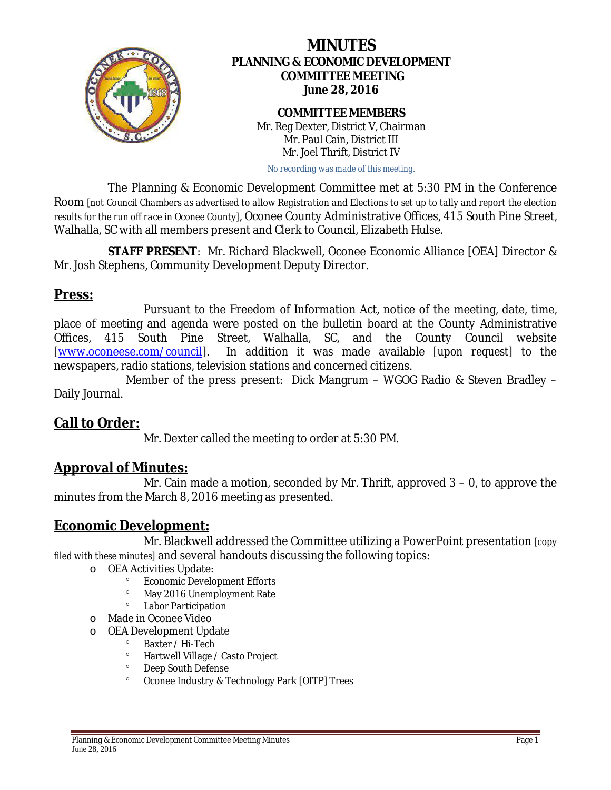

# **MINUTES PLANNING & ECONOMIC DEVELOPMENT COMMITTEE MEETING June 28, 2016**

#### **COMMITTEE MEMBERS** Mr. Reg Dexter, District V, Chairman Mr. Paul Cain, District III Mr. Joel Thrift, District IV

*No recording was made of this meeting.*

The Planning & Economic Development Committee met at 5:30 PM in the Conference Room *[not Council Chambers as advertised to allow Registration and Elections to set up to tally and report the election results for the run off race in Oconee County]*, Oconee County Administrative Offices, 415 South Pine Street, Walhalla, SC with all members present and Clerk to Council, Elizabeth Hulse.

**STAFF PRESENT**: Mr. Richard Blackwell, Oconee Economic Alliance [OEA] Director & Mr. Josh Stephens, Community Development Deputy Director.

#### **Press:**

Pursuant to the Freedom of Information Act, notice of the meeting, date, time, place of meeting and agenda were posted on the bulletin board at the County Administrative Offices, 415 South Pine Street, Walhalla, SC, and the County Council website [\[www.oconeese.com/council\]](http://www.oconeese.com/council). In addition it was made available *[upon request]* to the newspapers, radio stations, television stations and concerned citizens.

Member of the press present: Dick Mangrum – WGOG Radio & Steven Bradley – Daily Journal.

## **Call to Order:**

Mr. Dexter called the meeting to order at 5:30 PM.

# **Approval of Minutes:**

Mr. Cain made a motion, seconded by Mr. Thrift, approved 3 – 0, to approve the minutes from the March 8, 2016 meeting as presented.

## **Economic Development:**

Mr. Blackwell addressed the Committee utilizing a PowerPoint presentation *[copy filed with these minutes]* and several handouts discussing the following topics:

- o OEA Activities Update:
	- ° Economic Development Efforts<br>● May 2016 Unomployment Pate
	- ° May 2016 Unemployment Rate
	- ° Labor Participation
- o Made in Oconee Video
- o OEA Development Update
	- ° Baxter / Hi-Tech<br>● Plactwall Village
	- ° Hartwell Village / Casto Project
	- ° Deep South Defense
	- ° Oconee Industry & Technology Park [OITP] Trees